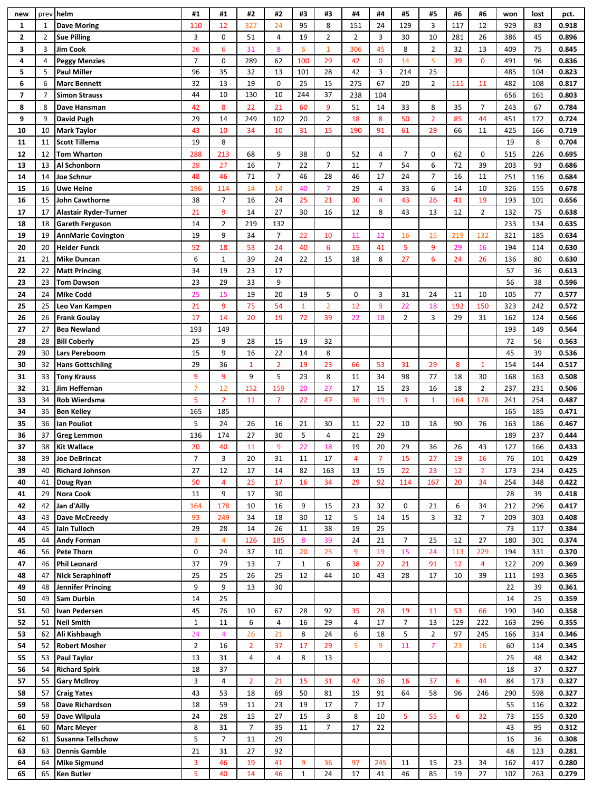| new          |                | prev helm                         | #1             | #1             | #2                   | #2             | #3              | #3                  | #4             | #4             | #5             | #5             | #6  | #6             | won      | lost      | pct.           |
|--------------|----------------|-----------------------------------|----------------|----------------|----------------------|----------------|-----------------|---------------------|----------------|----------------|----------------|----------------|-----|----------------|----------|-----------|----------------|
| $\mathbf{1}$ | $\mathbf{1}$   | <b>Dave Moring</b>                | 110            | 12             | 327                  | 24             | 95              | 8                   | 151            | 24             | 129            | 3              | 117 | 12             | 929      | 83        | 0.918          |
| $\mathbf{z}$ | $\overline{2}$ | <b>Sue Pilling</b>                | 3              | 0              | 51                   | 4              | 19              | $\overline{2}$      | $\overline{2}$ | 3              | 30             | 10             | 281 | 26             | 386      | 45        | 0.896          |
| 3            | 3              | <b>Jim Cook</b>                   | 26             | 6              | 31                   | 8              | $6\phantom{1}6$ | $\mathbf{1}$        | 306            | 45             | 8              | $\overline{2}$ | 32  | 13             | 409      | 75        | 0.845          |
| 4            | 4              | <b>Peggy Menzies</b>              | $\overline{7}$ | $\pmb{0}$      | 289                  | 62             | 100             | 29                  | 42             | $\mathbf 0$    | 14             | 5              | 39  | $\mathbf{0}$   | 491      | 96        | 0.836          |
| 5            | 5              | <b>Paul Miller</b>                | 96             | 35             | 32                   | 13             | 101             | 28                  | 42             | $\overline{3}$ | 214            | 25             |     |                | 485      | 104       | 0.823          |
| 6            | 6              | <b>Marc Bennett</b>               | 32             | 13             | 19                   | 0              | 25              | 15                  | 275            | 67             | 20             | $\overline{2}$ | 111 | 11             | 482      | 108       | 0.817          |
| 7            | $\overline{7}$ | <b>Simon Strauss</b>              | 44             | 10             | 130                  | 10             | 244             | 37                  | 238            | 104            |                |                |     |                | 656      | 161       | 0.803          |
| 8            | 8              | Dave Hansman                      | 42             | 8              | 22                   | 21             | 60              | 9                   | 51             | 14             | 33             | 8              | 35  | $\overline{7}$ | 243      | 67        | 0.784          |
| 9            | 9              | <b>David Pugh</b>                 | 29             | 14             | 249                  | 102            | 20              | $\overline{2}$      | 18             | 8              | 50             | $\overline{2}$ | 85  | 44             | 451      | 172       | 0.724          |
|              |                | <b>Mark Taylor</b>                |                |                |                      |                |                 |                     |                |                |                |                |     |                |          |           |                |
| 10           | 10             |                                   | 43             | 10             | 34                   | 10             | 31              | 15                  | 190            | 91             | 61             | 29             | 66  | 11             | 425      | 166       | 0.719          |
| 11           | 11             | <b>Scott Tillema</b>              | 19             | 8              |                      |                |                 |                     |                |                |                |                |     |                | 19       | 8         | 0.704          |
| 12           | 12             | <b>Tom Wharton</b>                | 288            | 213            | 68                   | 9              | 38              | $\mathbf 0$         | 52             | 4              | $\overline{7}$ | 0              | 62  | 0              | 515      | 226       | 0.695          |
| 13           | 13             | Al Schonborn                      | 28             | 27             | 16                   | $\overline{7}$ | 22              | $\overline{7}$      | 11             | $\overline{7}$ | 54             | 6              | 72  | 39             | 203      | 93        | 0.686          |
| 14           | 14             | Joe Schnur                        | 48             | 46             | 71                   | $\overline{7}$ | 46              | 28                  | 46             | 17             | 24             | $\overline{7}$ | 16  | 11             | 251      | 116       | 0.684          |
| 15           | 16             | Uwe Heine                         | 196            | 114            | 14                   | 14             | 40              | $\overline{7}$      | 29             | 4              | 33             | 6              | 14  | 10             | 326      | 155       | 0.678          |
| 16           | 15             | <b>John Cawthorne</b>             | 38             | $\overline{7}$ | 16                   | 24             | 25              | 21                  | 30             | 4              | 43             | 26             | 41  | 19             | 193      | 101       | 0.656          |
| 17           | 17             | <b>Alastair Ryder-Turner</b>      | 21             | 9              | 14                   | 27             | 30              | 16                  | 12             | 8              | 43             | 13             | 12  | $\overline{2}$ | 132      | 75        | 0.638          |
| 18           | 18             | <b>Gareth Ferguson</b>            | 14             | $\overline{2}$ | 219                  | 132            |                 |                     |                |                |                |                |     |                | 233      | 134       | 0.635          |
| 19           | 19             | <b>AnnMarie Covington</b>         | 19             | 9              | 34                   | $\overline{7}$ | 22              | 10                  | 11             | 12             | 16             | 15             | 219 | 132            | 321      | 185       | 0.634          |
| 20           | 20             | <b>Heider Funck</b>               | 52             | 18             | 53                   | 24             | 40              | 6                   | 15             | 41             | 5              | 9              | 29  | 16             | 194      | 114       | 0.630          |
| 21           | 21             | <b>Mike Duncan</b>                | 6              | $1\,$          | 39                   | 24             | 22              | 15                  | 18             | 8              | 27             | 6              | 24  | 26             | 136      | 80        | 0.630          |
| 22           | 22             | <b>Matt Princing</b>              | 34             | 19             | 23                   | 17             |                 |                     |                |                |                |                |     |                | 57       | 36        | 0.613          |
| 23           | 23             | <b>Tom Dawson</b>                 | 23             | 29             | 33                   | 9              |                 |                     |                |                |                |                |     |                | 56       | 38        | 0.596          |
| 24           | 24             | <b>Mike Codd</b>                  | 25             | 15             | 19                   | 20             | 19              | 5                   | 0              | $\overline{3}$ | 31             | 24             | 11  | 10             | 105      | 77        | 0.577          |
| 25           | 25             | Leo Van Kampen                    | 21             | 9              | 75                   | 54             | $\mathbf{1}$    | $\overline{2}$      | 12             | 9              | 22             | 18             | 192 | 150            | 323      | 242       | 0.572          |
| 26           | 26             | <b>Frank Goulay</b>               | 17             | 14             | 20                   | 19             | 72              | 39                  | 22             | 18             | $\overline{2}$ | 3              | 29  | 31             | 162      | 124       | 0.566          |
| 27           | 27             | <b>Bea Newland</b>                | 193            | 149            |                      |                |                 |                     |                |                |                |                |     |                | 193      | 149       | 0.564          |
| 28           | 28             | <b>Bill Coberly</b>               | 25             | 9              | 28                   | 15             | 19              | 32                  |                |                |                |                |     |                | 72       | 56        | 0.563          |
| 29           | 30             | Lars Pereboom                     | 15             | 9              | 16                   | 22             | 14              | 8                   |                |                |                |                |     |                | 45       | 39        | 0.536          |
| 30           | 32             | <b>Hans Gottschling</b>           | 29             | 36             | $\mathbf{1}$         | $\overline{2}$ | 19              | 23                  | 66             | 53             | 31             | 29             | 8   | $\mathbf{1}$   | 154      | 144       | 0.517          |
| 31           | 33             | <b>Tony Krauss</b>                | 9              | 9              | 9                    | 5              | 23              | 8                   | 11             | 34             | 98             | 77             | 18  | 30             | 168      | 163       | 0.508          |
|              |                |                                   |                |                |                      | 159            |                 |                     |                |                |                |                |     |                |          |           |                |
| 32           | 31             | Jim Heffernan                     | $\overline{7}$ | 12             | 152                  |                | 20              | 27                  | 17             | 15             | 23             | 16             | 18  | $\overline{2}$ | 237      | 231       | 0.506          |
| 33           | 34             | Rob Wierdsma                      | 5              | $\overline{2}$ | 11                   | $\overline{7}$ | 22              | 47                  | 36             | 19             | 3              | $\mathbf{1}$   | 164 | 178            | 241      | 254       | 0.487          |
| 34           | 35             | <b>Ben Kelley</b>                 | 165            | 185            |                      |                |                 |                     |                |                |                |                |     |                | 165      | 185       | 0.471          |
| 35           | 36             | lan Pouliot                       | 5              | 24             | 26                   | 16             | 21              | 30                  | 11             | 22             | 10             | 18             | 90  | 76             | 163      | 186       | 0.467          |
| 36           | 37             | <b>Greg Lemmon</b>                | 136            | 174            | 27                   | 30             | 5               | 4                   | 21             | 29             |                |                |     |                | 189      | 237       | 0.444          |
| 37           | 38             | <b>Kit Wallace</b>                | 20             | 40             | 11                   | 9              | 22              | 18                  | 19             | 20             | 29             | 36             | 26  | 43             | 127      | 166       | 0.433          |
| 38           | 39             | <b>Joe DeBrincat</b>              | 7              | 3              | 20                   | 31             | 11              | 17                  | 4              | 7              | 15             | 27             | 19  | 16             | 76       | 101       | 0.429          |
| 39           | 40             | <b>Richard Johnson</b>            | 27             | 12             | 17                   | 14             | 82              | 163                 | 13             | 15             | 22             | 23             | 12  | $\overline{7}$ | 173      | 234       | 0.425          |
| 40           | 41             | Doug Ryan                         | 50             | 4              | 25                   | 17             | 16              | 34                  | 29             | 92             | 114            | 167            | 20  | 34             | 254      | 348       | 0.422          |
| 41           | 29             | <b>Nora Cook</b>                  | 11             | 9              | 17                   | 30             |                 |                     |                |                |                |                |     |                | 28       | 39        | 0.418          |
| 42           | 42             | Jan d'Ailly                       | 164            | 178            | 10                   | 16             | 9               | 15                  | 23             | 32             | 0              | 21             | 6   | 34             | 212      | 296       | 0.417          |
| 43           | 43             | <b>Dave McCreedy</b>              | 93             | 249            | 34                   | 18             | 30              | 12                  | 5              | 14             | 15             | 3              | 32  | $\overline{7}$ | 209      | 303       | 0.408          |
| 44           | 45             | Iain Tulloch                      | 29             | 28             | 14                   | 26             | 11              | 38                  | 19             | 25             |                |                |     |                | 73       | 117       | 0.384          |
| 45           | 44             | <b>Andy Forman</b>                | 3              | $\overline{4}$ | 126                  | 185            | $\bf 8$         | 39                  | 24             | 21             | $\overline{7}$ | 25             | 12  | 27             | 180      | 301       | 0.374          |
| 46           | 56             | <b>Pete Thorn</b>                 | 0              | 24             | 37                   | 10             | 20              | 25                  | 9              | 19             | 15             | 24             | 113 | 229            | 194      | 331       | 0.370          |
| 47           | 46             | <b>Phil Leonard</b>               | 37             | 79             | 13                   | $\overline{7}$ | $\mathbf{1}$    | 6                   | 38             | 22             | 21             | 91             | 12  | 4              | 122      | 209       | 0.369          |
| 48           | 47             | <b>Nick Seraphinoff</b>           | 25             | 25             | 26                   | 25             | 12              | 44                  | 10             | 43             | 28             | 17             | 10  | 39             | 111      | 193       | 0.365          |
| 49           | 48             | <b>Jennifer Princing</b>          | 9              | 9              | 13                   | 30             |                 |                     |                |                |                |                |     |                | 22       | 39        | 0.361          |
| 50           | 49             | Sam Durbin                        | 14             | 25             |                      |                |                 |                     |                |                |                |                |     |                | 14       | 25        | 0.359          |
| 51           | 50             | Ivan Pedersen                     | 45             | 76             | 10                   | 67             | 28              | 92                  | 35             | 28             | 19             | 11             | 53  | 66             | 190      | 340       | 0.358          |
| 52           | 51             | <b>Neil Smith</b>                 | $\mathbf 1$    | 11             | 6                    | 4              | 16              | 29                  | 4              | 17             | $\overline{7}$ | 13             | 129 | 222            | 163      | 296       | 0.355          |
| 53           | 62             | Ali Kishbaugh                     | 24             | $\overline{4}$ | 26                   | 21             | 8               | 24                  | 6              | 18             | 5              | $\overline{2}$ | 97  | 245            | 166      | 314       | 0.346          |
| 54           | 52             | <b>Robert Mosher</b>              | 2              | 16             | $\overline{2}$       | 37             | 17              | 29                  | 5              | 9              | 11             | 7              | 23  | 16             | 60       | 114       | 0.345          |
| 55           | 53             | <b>Paul Taylor</b>                | 13             | 31             | 4                    | 4              | 8               | 13                  |                |                |                |                |     |                | 25       | 48        | 0.342          |
| 56           | 54             | <b>Richard Spirk</b>              | 18             | 37             |                      |                |                 |                     |                |                |                |                |     |                | 18       | 37        | 0.327          |
| 57           | 55             | <b>Gary McIlroy</b>               | 3              | $\overline{4}$ | $\overline{2}$       | 21             | 15              | 31                  | 42             | 36             | 16             | 37             | 6   | 44             | 84       | 173       | 0.327          |
| 58           | 57             | <b>Craig Yates</b>                | 43             | 53             | 18                   | 69             | 50              | 81                  | 19             | 91             | 64             | 58             | 96  | 246            | 290      | 598       | 0.327          |
| 59           | 58             | Dave Richardson                   | 18             | 59             | 11                   | 23             | 19              | 17                  | 7              | 17             |                |                |     |                | 55       | 116       | 0.322          |
|              | 59             |                                   |                |                |                      |                |                 |                     | 8              |                | 5              | 55             | 6   |                |          |           |                |
| 60<br>61     | 60             | Dave Wilpula<br><b>Marc Meyer</b> | 24<br>8        | 28<br>31       | 15<br>$\overline{7}$ | 27<br>35       | 15<br>11        | 3<br>$\overline{7}$ | 17             | 10<br>22       |                |                |     | 32             | 73<br>43 | 155<br>95 | 0.320<br>0.312 |
|              |                |                                   | 5              | $\overline{7}$ | 11                   | 29             |                 |                     |                |                |                |                |     |                |          | 36        | 0.308          |
| 62           | 61             | <b>Susanna Tellschow</b>          |                |                |                      |                |                 |                     |                |                |                |                |     |                | 16       |           |                |
| 63           | 63             | <b>Dennis Gamble</b>              | 21             | 31             | 27                   | 92             |                 |                     |                |                |                |                |     |                | 48       | 123       | 0.281          |
| 64<br>65     | 64             | <b>Mike Sigmund</b>               | 3              | 46             | 19                   | 41             | 9               | 36                  | 97             | 245            | 11             | 15             | 23  | 34             | 162      | 417       | 0.280          |
|              | 65             | <b>Ken Butler</b>                 | 5              | 40             | 14                   | 46             | $\mathbf{1}$    | 24                  | 17             | 41             | 46             | 85             | 19  | 27             | 102      | 263       | 0.279          |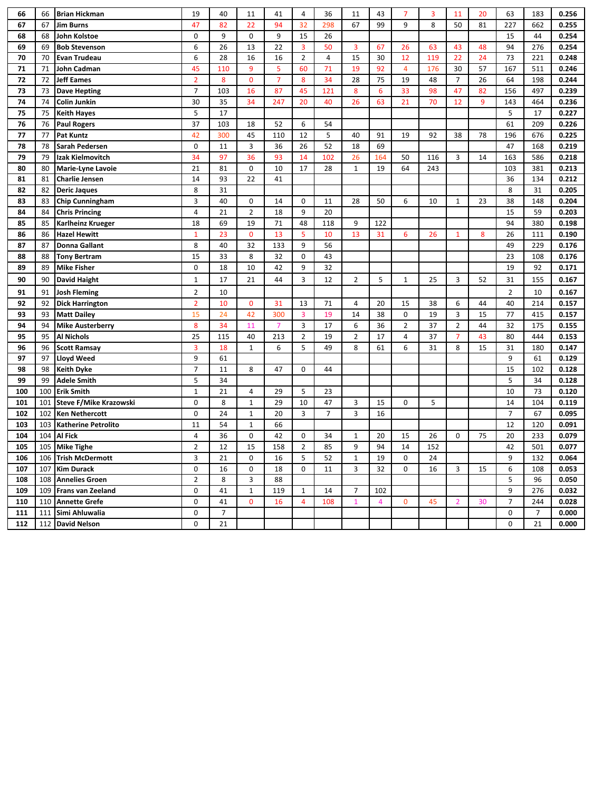| 66  | 66  | <b>Brian Hickman</b>       | 19             | 40             | 11               | 41             | 4                | 36             | 11             | 43              | $\overline{7}$ | 3   | 11             | 20 | 63             | 183 | 0.256 |
|-----|-----|----------------------------|----------------|----------------|------------------|----------------|------------------|----------------|----------------|-----------------|----------------|-----|----------------|----|----------------|-----|-------|
| 67  | 67  | <b>Jim Burns</b>           | 47             | 82             | 22               | 94             | 32               | 298            | 67             | 99              | 9              | 8   | 50             | 81 | 227            | 662 | 0.255 |
| 68  | 68  | John Kolstoe               | 0              | 9              | $\mathbf 0$      | 9              | 15               | 26             |                |                 |                |     |                |    | 15             | 44  | 0.254 |
| 69  | 69  | <b>Bob Stevenson</b>       | 6              | 26             | 13               | 22             | 3                | 50             | 3              | 67              | 26             | 63  | 43             | 48 | 94             | 276 | 0.254 |
| 70  | 70  | <b>Evan Trudeau</b>        | 6              | 28             | 16               | 16             | $\overline{2}$   | $\overline{4}$ | 15             | 30              | 12             | 119 | 22             | 24 | 73             | 221 | 0.248 |
| 71  | 71  | John Cadman                | 45             | 110            | 9                | 5              | 60               | 71             | 19             | 92              | $\overline{4}$ | 176 | 30             | 57 | 167            | 511 | 0.246 |
| 72  | 72  | <b>Jeff Eames</b>          | $\overline{2}$ | 8              | $\mathbf 0$      | $\overline{7}$ | 8                | 34             | 28             | 75              | 19             | 48  | $\overline{7}$ | 26 | 64             | 198 | 0.244 |
| 73  | 73  | <b>Dave Hepting</b>        | $\overline{7}$ | 103            | 16               | 87             | 45               | 121            | 8              | $6\phantom{1}6$ | 33             | 98  | 47             | 82 | 156            | 497 | 0.239 |
| 74  | 74  | Colin Junkin               | 30             | 35             | 34               | 247            | 20               | 40             | 26             | 63              | 21             | 70  | 12             | 9  | 143            | 464 | 0.236 |
| 75  | 75  | <b>Keith Hayes</b>         | 5              | 17             |                  |                |                  |                |                |                 |                |     |                |    | 5              | 17  | 0.227 |
| 76  | 76  | <b>Paul Rogers</b>         | 37             | 103            | 18               | 52             | 6                | 54             |                |                 |                |     |                |    | 61             | 209 | 0.226 |
| 77  | 77  | <b>Pat Kuntz</b>           | 42             | 300            | 45               | 110            | 12               | 5              | 40             | 91              | 19             | 92  | 38             | 78 | 196            | 676 | 0.225 |
| 78  | 78  | Sarah Pedersen             | 0              | 11             | 3                | 36             | 26               | 52             | 18             | 69              |                |     |                |    | 47             | 168 | 0.219 |
| 79  | 79  | Izak Kielmovitch           | 34             | 97             | 36               | 93             | 14               | 102            | 26             | 164             | 50             | 116 | 3              | 14 | 163            | 586 | 0.218 |
| 80  | 80  | Marie-Lyne Lavoie          | 21             | 81             | $\pmb{0}$        | 10             | 17               | 28             | $\mathbf{1}$   | 19              | 64             | 243 |                |    | 103            | 381 | 0.213 |
| 81  | 81  | <b>Charlie Jensen</b>      | 14             | 93             | 22               | 41             |                  |                |                |                 |                |     |                |    | 36             | 134 | 0.212 |
| 82  | 82  | <b>Deric Jaques</b>        | 8              | 31             |                  |                |                  |                |                |                 |                |     |                |    | 8              | 31  | 0.205 |
| 83  | 83  | <b>Chip Cunningham</b>     | 3              | 40             | $\pmb{0}$        | 14             | 0                | 11             | 28             | 50              | 6              | 10  | $1\,$          | 23 | 38             | 148 | 0.204 |
| 84  | 84  | <b>Chris Princing</b>      | 4              | 21             | $\overline{2}$   | 18             | 9                | 20             |                |                 |                |     |                |    | 15             | 59  | 0.203 |
| 85  | 85  | Karlheinz Krueger          | 18             | 69             | 19               | $71\,$         | 48               | 118            | 9              | 122             |                |     |                |    | 94             | 380 | 0.198 |
| 86  | 86  | <b>Hazel Hewitt</b>        | $\mathbf{1}$   | 23             | $\bf{0}$         | 13             | 5                | 10             | 13             | 31              | 6              | 26  | $\mathbf{1}$   | 8  | 26             | 111 | 0.190 |
| 87  | 87  | <b>Donna Gallant</b>       | 8              | 40             | 32               | 133            | 9                | 56             |                |                 |                |     |                |    | 49             | 229 | 0.176 |
| 88  | 88  | <b>Tony Bertram</b>        | 15             | 33             | 8                | 32             | $\mathbf 0$      | 43             |                |                 |                |     |                |    | 23             | 108 | 0.176 |
| 89  | 89  | <b>Mike Fisher</b>         | 0              | 18             | 10               | 42             | 9                | 32             |                |                 |                |     |                |    | 19             | 92  | 0.171 |
|     |     |                            |                |                |                  |                |                  |                |                |                 |                |     |                |    |                |     |       |
| 90  | 90  | <b>David Haight</b>        | $\mathbf{1}$   | 17             | 21               | 44             | 3                | 12             | $\overline{2}$ | 5               | $\mathbf{1}$   | 25  | 3              | 52 | 31             | 155 | 0.167 |
| 91  | 91  | <b>Josh Fleming</b>        | $\overline{2}$ | 10             |                  |                |                  |                |                |                 |                |     |                |    | $\overline{2}$ | 10  | 0.167 |
| 92  | 92  | <b>Dick Harrington</b>     | $\overline{2}$ | 10             | $\mathbf 0$      | 31             | 13               | 71             | 4              | 20              | 15             | 38  | 6              | 44 | 40             | 214 | 0.157 |
| 93  | 93  | <b>Matt Dailey</b>         | 15             | 24             | 42               | 300            | $\overline{3}$   | 19             | 14             | 38              | 0              | 19  | $\overline{3}$ | 15 | 77             | 415 | 0.157 |
| 94  | 94  | <b>Mike Austerberry</b>    | 8              | 34             | 11               | $\overline{7}$ | 3                | 17             | 6              | 36              | $\overline{2}$ | 37  | $\overline{2}$ | 44 | 32             | 175 | 0.155 |
| 95  | 95  | Al Nichols                 | 25             | 115            | 40               | 213            | $\overline{2}$   | 19             | $\overline{2}$ | 17              | 4              | 37  | $\overline{7}$ | 43 | 80             | 444 | 0.153 |
| 96  | 96  | <b>Scott Ramsay</b>        | 3              | 18             | $1\,$            | 6              | 5                | 49             | 8              | 61              | 6              | 31  | 8              | 15 | 31             | 180 | 0.147 |
| 97  | 97  | <b>Lloyd Weed</b>          | 9              | 61             |                  |                |                  |                |                |                 |                |     |                |    | 9              | 61  | 0.129 |
| 98  | 98  | <b>Keith Dyke</b>          | $\overline{7}$ | 11             | 8                | 47             | $\mathbf 0$      | 44             |                |                 |                |     |                |    | 15             | 102 | 0.128 |
| 99  | 99  | <b>Adele Smith</b>         | 5              | 34             |                  |                |                  |                |                |                 |                |     |                |    | 5              | 34  | 0.128 |
| 100 | 100 | <b>Erik Smith</b>          | $\mathbf 1$    | 21             | $\overline{4}$   | 29             | 5                | 23             |                |                 |                |     |                |    | 10             | 73  | 0.120 |
| 101 | 101 | Steve F/Mike Krazowski     | $\mathbf 0$    | 8              | $\mathbf 1$      | 29             | 10               | 47             | 3              | 15              | 0              | 5   |                |    | 14             | 104 | 0.119 |
| 102 | 102 | <b>Ken Nethercott</b>      | 0              | 24             | $1\,$            | 20             | 3                | 7              | 3              | 16              |                |     |                |    | $\overline{7}$ | 67  | 0.095 |
| 103 | 103 | <b>Katherine Petrolito</b> | 11             | 54             | $\mathbf{1}$     | 66             |                  |                |                |                 |                |     |                |    | 12             | 120 | 0.091 |
| 104 | 104 | <b>Al Fick</b>             | 4              | 36             | $\boldsymbol{0}$ | 42             | $\boldsymbol{0}$ | 34             | $\mathbf 1$    | 20              | 15             | 26  | $\pmb{0}$      | 75 | 20             | 233 | 0.079 |
| 105 | 105 | <b>Mike Tighe</b>          | $\overline{2}$ | 12             | 15               | 158            | $\overline{2}$   | 85             | 9              | 94              | 14             | 152 |                |    | 42             | 501 | 0.077 |
| 106 |     | 106 Trish McDermott        | 3              | 21             | 0                | 16             | 5                | 52             | $\mathbf{1}$   | 19              | 0              | 24  |                |    | 9              | 132 | 0.064 |
| 107 | 107 | <b>Kim Durack</b>          | 0              | 16             | 0                | 18             | $\mathbf 0$      | 11             | 3              | 32              | 0              | 16  | 3              | 15 | 6              | 108 | 0.053 |
| 108 | 108 | <b>Annelies Groen</b>      | $\overline{2}$ | 8              | 3                | 88             |                  |                |                |                 |                |     |                |    | 5              | 96  | 0.050 |
| 109 |     | 109 Frans van Zeeland      | 0              | 41             | $\mathbf{1}$     | 119            | $\mathbf{1}$     | 14             | $\overline{7}$ | 102             |                |     |                |    | 9              | 276 | 0.032 |
| 110 |     | 110 Annette Grefe          | 0              | 41             | 0                | 16             | 4                | 108            | $\mathbf{1}$   | 4               | 0              | 45  | $\overline{2}$ | 30 | $\overline{7}$ | 244 | 0.028 |
| 111 |     | 111 Simi Ahluwalia         | 0              | $\overline{7}$ |                  |                |                  |                |                |                 |                |     |                |    | 0              | 7   | 0.000 |
| 112 |     | 112 David Nelson           | 0              | 21             |                  |                |                  |                |                |                 |                |     |                |    | 0              | 21  | 0.000 |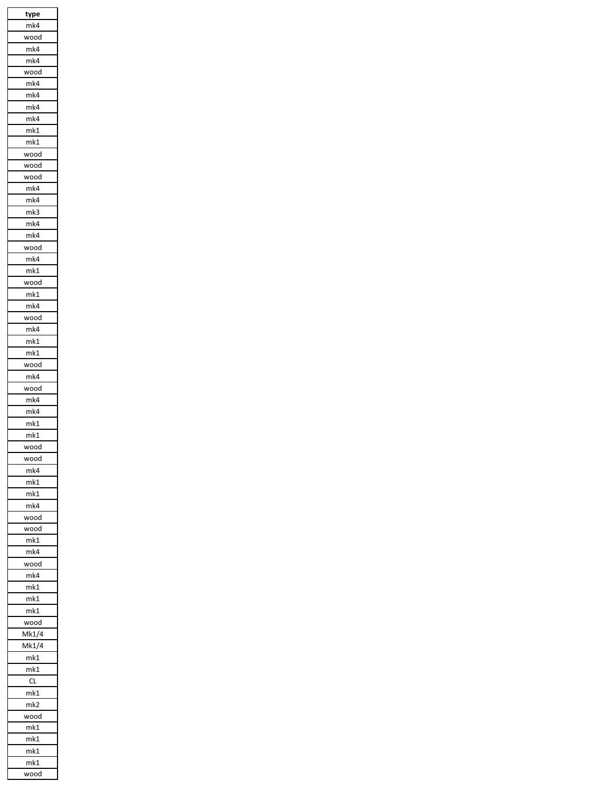| type                      |
|---------------------------|
| mk4                       |
| wood                      |
| mk4                       |
| mk4                       |
| wood                      |
| mk4                       |
|                           |
| mk4                       |
| mk4                       |
| mk4                       |
| mk1                       |
| mk1                       |
| wood                      |
| wood                      |
|                           |
| wood                      |
| mk4                       |
| mk4                       |
| mk3                       |
| mk4                       |
| mk4                       |
|                           |
| wood                      |
| mk4                       |
| mk1                       |
| wood                      |
| mk1                       |
|                           |
| mk4                       |
| wood                      |
| mk4                       |
| mk1                       |
| mk1                       |
| wood                      |
|                           |
| mk4                       |
| wood                      |
| mk4                       |
| mk4                       |
| mk1                       |
|                           |
| mk1                       |
| N٥<br>x<br>$\mathfrak{c}$ |
| wood                      |
| mk4                       |
| mk1                       |
|                           |
| mk1                       |
| mk4                       |
| wood                      |
| wood                      |
| mk1                       |
| mk4                       |
| wood                      |
|                           |
| mk4                       |
| m <sub>k1</sub>           |
| mk1                       |
| mk1                       |
| wood                      |
|                           |
| Mk1/4                     |
| Mk1/4                     |
| mk1                       |
| mk1                       |
| CL                        |
| mk1                       |
|                           |
| mk2                       |
| wood                      |
| mk1                       |
| mk1                       |
| mk1                       |
| mk1                       |
| wood                      |
|                           |